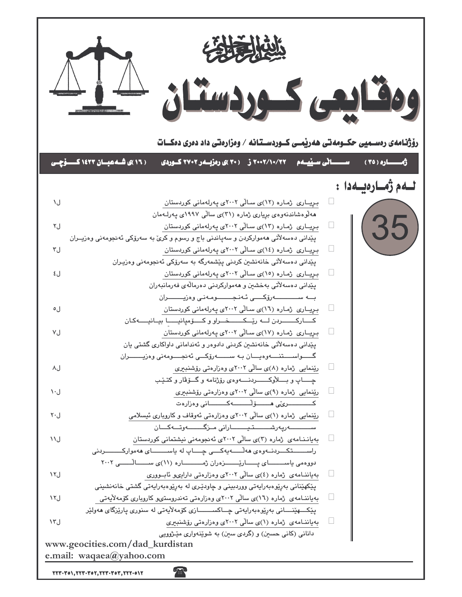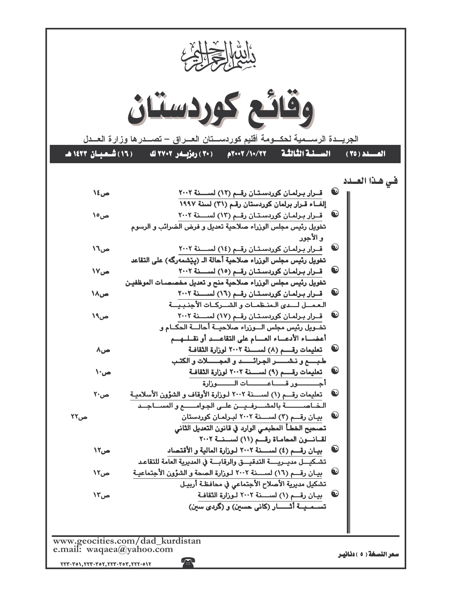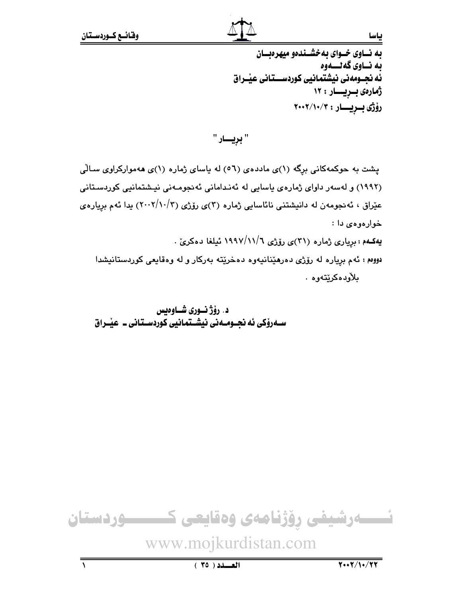## به نساوی خسوای به خشسندهو میهره سان ىه نــاوى گەنــــەوە ئه نجــومەنى نيشتمانيى كوردســـتانى عيْــراق ژمارەى بىريسار : ١٢ رۆژى بىريسار : ٢٠٠٢/١٠/٢

" بريـــــار "

یشت به حوکمهکانی برگه (۱)ی ماددهی (٥٦) له یاسای ژماره (۱)ی ههموارکراوی سالی (١٩٩٢) و لهسهر داوای ژمارهی پاسایی له ئهندامانی ئهنجومـهنی نیـشتمانیی کوردسـتانی عیّراق ، ئەنجومەن لە دانیشتنی نائاسایی ژمارە (۳)ی رۆژی (۲/۰۰۲/۱۰/۳) یدا ئەم بریارەی خوارهوهي دا : يهكـهم : بږيارى ژماره (٣١)ى رۆژى ١٩٩٧/١١/٦ ئىلغا دەكرىّ .

دووهم : ئهم برياره له رۆژى دەرهێنانيەوە دەخرێتە بەركار و له وەقايعى كوردستانيشدا بلأودەكرێتەوە .

د. رۆژ نــورى شــاوەيس ســهروْکی ئه نجــومــهنی نیشــتمانیی کوردســتانی ــ عیّــراق



ىياسيا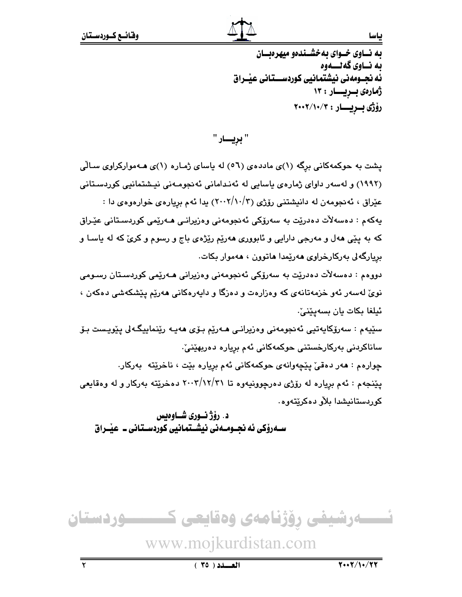### بياسا

به نساوی خسوای به خشسندهو میهره بسان ىه نــاوي گەنـــەوە ئه نحـومەنى نىشتمانىي كوردســـتانى عنــراق ژمارەى بىريسار : ١٣ رۆژى بىريسار: ٢٠٠٢/١٠/٢

" بړيـــار "

یشت به حوکمهکانی برگه (۱)ی ماددهی (٥٦) له یاسای ژماره (۱)ی هـهموارکراوی سـالّی (۱۹۹۲) و لهسهر داوای ژمارهی پاسایی له ئهندامانی ئهنجومـهنی نیـشتمانیی کوردسـتانی عێراق ، ئەنجومەن لە دانيشتني رۆژى (٢/١٠/٣) يدا ئەم بريارەي خوارەوەي دا : يەكەم : دەسەلآت دەدرێت بە سەرۆكى ئەنجومەنى وەزيرانـى ھـەرێمى كوردسـتانى عێـراق که به پێی ههل و مهرجی دارایی و ئابووری ههرێم رێژهی باج و رسوم و کریؒ که له یاسـا و بريارگەلى بەركارخراوى ھەرێمدا ھاتوون ، ھەموار بكات. دووهم : دەسەلأت دەدرێت بە سەرۆكى ئەنجومەنى وەزيرانى ھـەرێمى كوردسىتان رسىومى نویٌ لهسهر ئهو خزمهتانهی که وهزارهت و دهزگا و دایهرهکانی ههریم ییشکهشی دهکهن ، ئيلغا بكات يان بسەيێنىٚ. سێيەم : سەرۆكايەتيى ئەنجومەنى وەزيرانى ھـەرێم بـۆى ھەيـە رێنماييگـەلى پێويـست بـۆ ساناكردنى بەركارخستنى حوكمەكانى ئەم بريارە دەريھێنىٚ. چوارهم : هەر دەقى يێچەوانەي جوكمەكانى ئەم بريارە بێت ، ناخرێتە بەركار. پێنجهم : ئهم برياره له رۆژى دەرچوونيەوە تا ٢١/١٢//٣١ دەخرێته بەركار و له وەقايعى كوربستانيشدا بلأو دەكريتەوە.

د. رۆژنسورى شــاوەىس ســهروْکي ئه نجــومــه ني نيشــتمـانيي کوردســتـاني ــ عيْــراق

تــــــــەرشیفی رۆژنامەی وەقایعی كــــــــــوردستان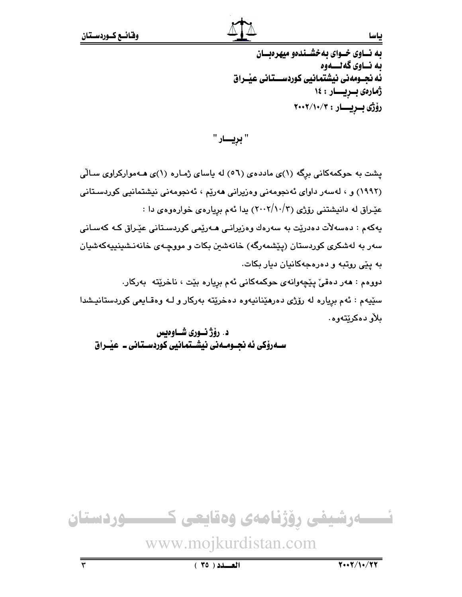به نساوی خسوای به خشسندهو میهرهبسان ىه نــاوي گەنـــەوە ئه نحـومەنى نىشتمانىي كوردســـتانى عنــراق ژمارەى بىريسار: ١٤ رۆژى بىريسار: ٢٠٠٢/١٠/٢

" بړيـــار "

یشت به حوکمهکانی برگه (۱)ی ماددهی (٥٦) له یاسای ژماره (۱)ی هـهموارکراوی سـالّی (١٩٩٢) و ، لەسەر داواي ئەنجومەنى وەزيرانى ھەريم ، ئەنجومەنى نيشتمانيى كوردسىتانى عیّـراق له دانیشتنی رۆژی (۲/۰۰۲/۱۰/۳) یدا ئهم بریاره ی خوارهوه ی دا : يەكەم : دەسەلآت دەدرێت بە سەرەك وەزيرانـى ھـەرێمى كوردسىتانى عێـراق كـە كەسـانى سەر بە لەشكرى كوردستان (يێشمەرگە) خانەشىن بكات و مووچـەى خانەنـشىنىيەكەشيان به ییّی روتبه و دهرهجهکانیان دیار بکات. دووهم : هەر دەقىٰ يێچەوانەي حوكمەكانى ئەم بريارە بێت ، ناخرێتە بەركار.

سێپهم : ئهم برياره له رۆژى دەرهێنانيەوە دەخرێته بەركار و لـه وەقـايعى كوردستانيـشدا ىلأو دەكرىيتەوە.

د. رۆژنـورى شـاوەيس ســهروٰکی ئه نجــومــهنی نیشــتمـانیی کوردســتـانی ــ عیْــراق



بياسا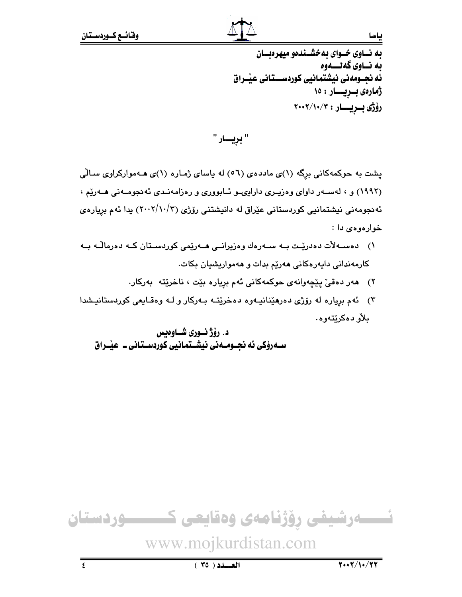# به نساوی خسوای به خشسندهو میهرهبسان ىه نــاوي گەنـــەوە ئه نجــومەنى نيشتمانيى كوردســـتـانى عيْــراق ژمارەى بىريسار: ١٥ رۆژى بىريسار: ٢٠٠٢/١٠/٢

" بريـــــار "

یشت به حوکمهکانی برگه (۱)ی ماددهی (۵٦) له یاسای ژماره (۱)ی هـهموارکراوی سـالّی (۱۹۹۲) و ، لهسـهر داوای وهزیـری داراییـو ئـابووری و رهزامهنـدی ئهنجومـهنی هـهریم ، ئەنجومەنى نیشتمانیى كوردستانى عێراق لە دانیشتنى رۆژى (٢٠٠٢/١٠/٣) يدا ئەم بريارەي خوارمومى دا :

- ۱) دەســەلات دەدريّـت بــه ســەرەك وەزيرانــى ھــەريّمى كوردســتان كــه دەرمالّــه بــه کارمەندانى دايەرەكانى ھەرپم بدات و ھەمواريشيان بكات.
	- ٢) هەر دەقى يێچەوانەي حوكمەكانى ئەم بريارە بێت ، ناخرێتە بەركار.
- ۳) ئهم برياره له رۆژى دەرمێنانيـهوه دەخرێتـه بـهركار و لـه وەقـايعى كوردستانيـشدا ىلأو دەكرنتەوە.

د. رۆژنـورى شـاوەيس ســهروٰکی ئه نجــومــهنی نیشــتمـانیی کوردســتـانی ــ عیْــراق



ىاسا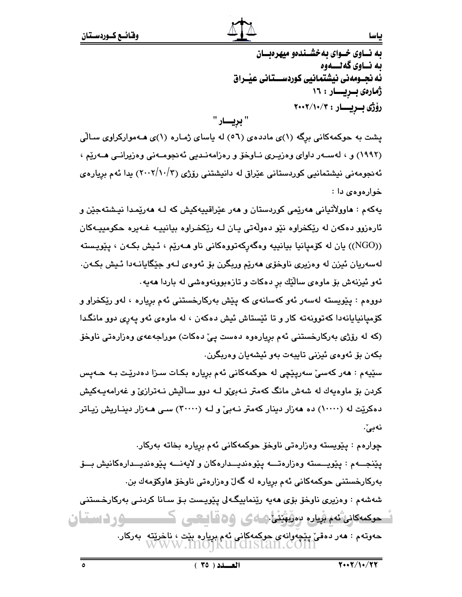ىاسا

به نساوی خسوای به خشسندهو میهره بسان ىه نــاوي گەنـــەوە ئه نحـومهني نيشتمانيي كوردســـتاني عيْـراق ژمارەى بىريسار : ١٦ رۆژى بىريسار : ٢٠٠٢/١٠/٣ " بريسار "

یشت به حوکمهکانی برگه (۱)ی ماددهی (۵٦) له پاسای ژماره (۱)ی هـهموارکراوی سـالّی (۱۹۹۲) و ، لەسـەر داواي وەزپـرى نــاوخۆ و رەزامەنـدىي ئەنجومــەنى وەزيرانــى ھــەرێم ، ئەنجومەنى نيشتمانيى كوردستانى عێراق لە دانيشتنى رۆژى (٢٠٠٢/١٠/٣) يدا ئەم بريارەي خوارمومى دا :

يهکهم : ماوولاٌتياني مهرێِمي کوردستان و مهر عێراقييهکيش که لـه مهرێمدا نيـشتهجێن و ئارەزوو دەكەن لە رێكخراوە نێو دەوڵەتى يـان لـە رێكخـراوە بيانييـە غـەيرە حكومىيـەكان ((NGO)) يان له كۆميانيا بيانييه وهگەركەتووەكانى ناو ھـەرێم ، ئـيش بكـەن ، يێويـسته لەسەريان ئيزن لە وەزيرى ناوخۆى ھەرێم وربگرن بۆ ئەوەي لـەو جێگايانـەدا ئـيش بكـەن. ئەو ئیزنەش بۆ ماوەي سالّيْك بر دەكات و تازەبوونەوەشى لە باردا ھەيە .

دووهم : پێویسته لهسهر ئهو کهسانهی که پێش بهرکارخستنی ئهم بریاره ، لهو رێکخراو و کۆميانيايانەدا کەتوونەتە کار و تا ئێستاش ئيش دەکەن ، لە ماوەي ئەو يەرى دوو مانگدا (که له رۆژی بهرکارخستنی ئهم بریارهوه دهست ییّ دهکات) موراجهعهی وهزارهتی ناوخوّ بكەن بۆ ئەوەي ئىزنى تايبەت بەو ئىشەيان وەربگرن.

سێڀهم : ههر کهسێ سهرپێڇي له حوکمهکاني ئهم برياره بکـات سـزا دهدرێت بـه حـهيس کردن بۆ ماوەپەك لە شەش مانگ كەمتر نـﻪبى⁄و لـﻪ دوو سـالْيش نـﻪترازىٚ و غەرامەپـﻪكيش دهکریت له (۱۰۰۰۰) ده ههزار دینار کهمتر نـهبیّ و لـه (۳۰۰۰۰) سـی هـهزار دینـاریش زیـاتر نەبى ٗ.

چوارهم : پێویسته وهزارهتی ناوخۆ حوکمهکانی ئهم برِیاره بخاته بهرکار. يێنجـــهم : يێويـــسته وەزارەتـــه يێوەنديــدارەكان و لايەنـــه يێوەنديــدارەكانيش بـــۆ بەركارخستنى حوكمەكانى ئەم بريارە لە گەلّ وەزارەتى ناوخۆ ھاوكۆمەك بن. شەشەم : وەزيرى ناوخۆ بۆي ھەيە رێنماييگەلى يێويست بـۆ سـانا كردنـي بەركارخـستنى ــــوردستان حوکمەکانى ئەم بريارە بەربۇينى كەكى 66قانىشى ك حەوتەم : ھەر دەقى يېيچەوانەي حوكمەكانى ئەم بريارە بېت ، ناخرېتە بەركار.<br>WWW.MO|KUFCISTAN.COM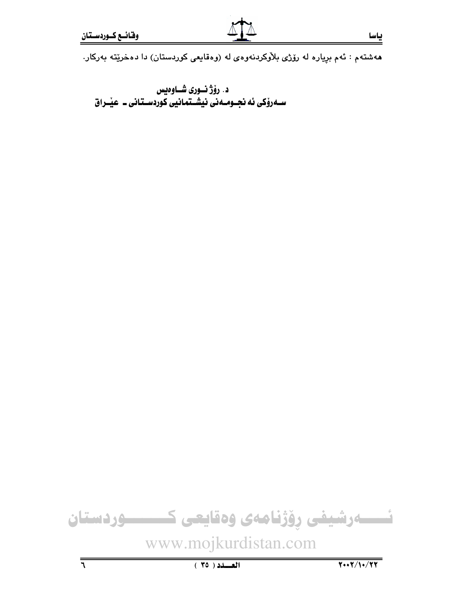ههشتهم : ئهم بړیاره له رۆژی بلأوکردنهوهی له (ومقایعی کوردستان) دا دمخرێته بهرکار.

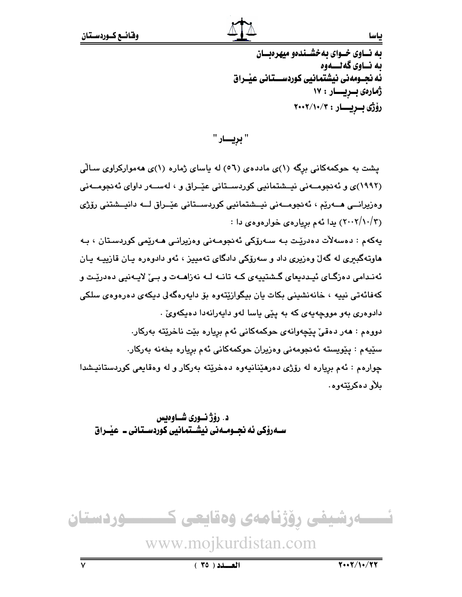به نساوی خسوای به خشسندهو میهره بسان ىه نــاوي گەنـــەوە ئه نحـومەنى نىشتمانىي كوردســـتانى عنــراق ژمارەى بىريسار : ١٧ رۆژى بىريسار: ٢٠٠٢/١٠/٢

" برِيـــار "

یشت به حوکمهکانی برگه (۱)ی ماددهی (٥٦) له باسای ژماره (۱)ی ههموارکراوی سـالّی (١٩٩٢)ی و ئەنجومــەنى نيــشتمانيى كوردســتانى عێــراق و ، لەســەر داوای ئەنجومــەنى وەزيرانــى ھــەرێم ، ئەنجومــەنى نيــشتمانيى كوردســتانى عێــراق لـــە دانيــشتنى رۆژى (۲۰۰۲/۱۰/۳) بدا ئهم بریارهی خوارهوهی دا :

يەكەم : دەسەلأت دەدرێت بـە سـەرۆكى ئەنجومـەنى وەزيرانـى ھـەرێمى كوردسـتان ، بـە هاوتهگبیری له گهلٌ وهزیری داد و سهرۆکی دادگای تهمییز ، ئهو دادوهره یان قازییـه یـان ئەنىدامى دەزگـاى ئېـددىيعاى گـشتېيەى كــه تانــه لــه نەزاھــەت و بــىٰ لايــەنيى دەدريـْت و کەفائەتى نىيە ، خانەنشىنى بكات يان بېگوازێتەوە بۆ داپەرەگەلى دېكەي دەرەوەي سلكى دادوهري بهو مووجهيهي كه به يێي ياسا لهو دايهرانهدا دهيكهويّ . دووهم : هەر دەقىٰ يێچەوانەي حوكمەكانى ئەم بريارە بێت ناخرێتە بەركار. سێڀهم : پێویسته ئەنجومەنی وەزیران حوکمەکانی ئەم بریارە بخەنە بەرکار. چوارهم : ئهم برياره له رۆژى دەرهێنانيەوه دەخرێته بەركار و له وەقايعى كوردستانيشدا بلأو دەكرێتەوە.

د. رؤژ نسوري شساوهيس ســهروٰکی ئه نجــومــه نی نیشــتمـانیی کوردســتـانی ــ عیْــراق

ــــودستان تـــــــهرشیفی رؤژنامهی وهقایعی ک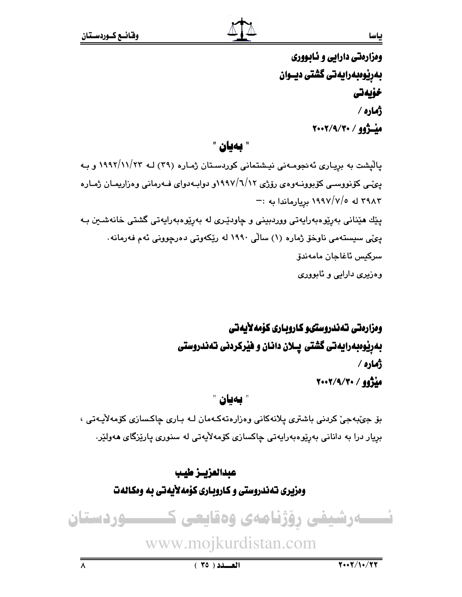ومزارمتي دارايي و نـابـووري بەرپوەبەرايەتى گشتى ديــوان خۆيەتى ژماره / ميشژوو / ٢٠٠٢/٩/٢٠٠٢

" بەيان "

یالْیشت به بریاری ئەنجومـەنی نیـشتمانی کوردسـتان ژمـاره (۳۹) لـه ۱۹۹۲/۱۱/۲۳ و بـه یی ّـی کۆنووسـی کۆبوونــەوەی رۆژی ۱۹۹۷/٦/۱۲و دوابــەدوای فــەرمانی وەزاریمـان ژمـارە اله ١٩٩٧/٧/٥ بريارماندا به :-پێك هێناني بەرێوەبەراپەتى ووردبينى و چاودێرى لە بەرێوەبەراپەتى گشتى خانەشىن بـە دِیۡی سیستهمی ناوخو٘ ژماره (۱) سالّی ۱۹۹۰ له ریّکهوتی دهرچوونی ئهم فهرمانه٠ سركيس ئاغاجان مامەندۆ وهزيري دارايي و ئابووري

# ومزارهتي تهندروستىو كاروبارى كۆمەلأيەتى بهریوهبهرایهتی گشتی پــلان دانـان و فیرکردنی تـهندروستی ژُماره ⁄ ميزوو / ٢٠٠٢/٩/٢٠٠٢

" بەيان "

بۆ جېّبەجىّ كردنى باشترى پلانەكانى وەزارەتەكـەمان لـە بـارى چاكـسازى كۆمەلاّيـەتى ، بريار درا به دانانی بەرێوەبەرايەتی چاكسازی كۆمەلايەتی لە سنوری پارێزگای ھەولێر.

# عبدالعزيــز طيب وهزیری ته ندروستی و کاروباری کوْمه لأیه تی به ومکاله ت

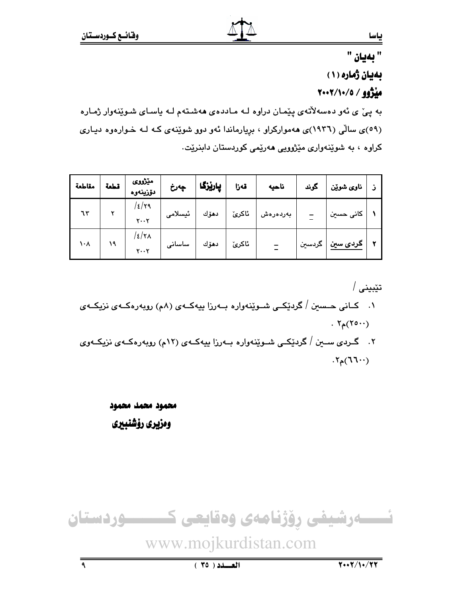# " بەيان " بهیان ژماره (۱) مِنْزُوو / ٢٠٠٢/١٠/٥

به ییْ ی نُهو دهسهلاٌتهی ییِّمـان دراوه لـه مـاددهی ههشـتهم لـه یاسـای شـویِّنهوار ژمـاره (٥٩)ی سالی (١٩٣٦)ی ههموارکراو ، بریارماندا ئهو دوو شوینهی که لـه خـوارهوه دیـاری کراوه ، به شویندواری میزوویی هەریمی کوردستان دابنریت.

| مقاطعة    | قطعة | مێڗ۬ۅؠ<br>ئۆزىنەوە                      | ڇەرخ    | پارێزگا | قەزا  | ناحيه             | کرند   | ناوی شوێن                 |  |
|-----------|------|-----------------------------------------|---------|---------|-------|-------------------|--------|---------------------------|--|
| ٦٣        |      | /٤/٢٩<br>$\mathsf{Y} \cdots \mathsf{Y}$ | ئيسلامى | دھۆك    | ئاكرێ | بەر <i>د</i> ەرەش |        | کان <i>ی</i> حسی <i>ن</i> |  |
| <b>、イ</b> | ۱۹   | /٤/٢٨<br>$Y \cdot Y$                    | ساسانى  | دھۆك    | ئاكرێ |                   | گردسین | ڪرد <i>ي</i> سين          |  |

تێبینی / ۰۱ کسانی حسین / گردێکـی شـوێنهواره بــهرزا بیهکــهی (۸م) روبهرهکــهی نزیکــهی  $. 7_{\rho}(70 \cdot \cdot)$ ۲. گـــردی ســـین /گردنیکـــی شـــویینـهواره بـــهورزا پیپهکــهی (۱۲م) روبه<code>ر</code>هکــهی نزیکــهوی

 $\cdot$   $\mathcal{N}_{\rho}(\mathcal{N})$ 

محمود محمد محمود ومزيري رؤشنبيري

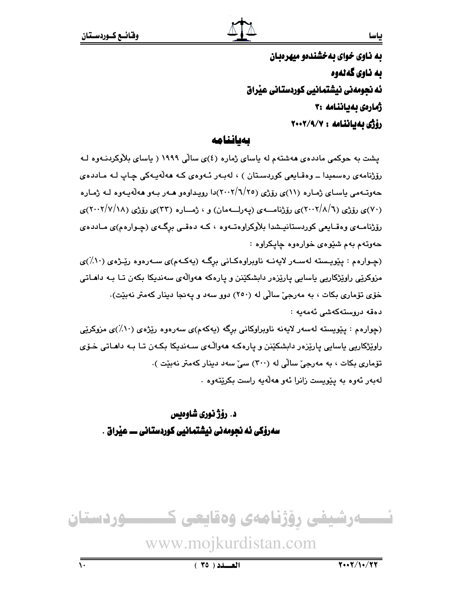به ناوی خوای به خشندمو میهرهبان به ناوي گەلەوە ئه نجومەنى نيشتمانيى كوردستانى عيراق ژمارەى بەياننامە :۳ رۆژى بەياننامە: ٢٠٠٢/٩/٧

بمطننامه

یشت به حوکمی ماددهی ههشتهم له پاسای ژماره (٤)ی سالّی ۱۹۹۹ ( پاسای بلاّوکردنـهوه لـه رۆژنامەي رەسمىدا ــ وەقـايعى كوردسـتان ) ، لەبـەر ئـەوەي كـە ھەلّەيـەكى چـاپ لـە مـاددەي حەوتــهمي ياســاي ژمــاره (١١)ي رۆژي (٢٠٠٢/٦/٢٥)دا رويـداوهو هــهر بــهو هـهڵهيــهوه لــه ژمــاره (۷۰)ی رۆژی (۲۰۰۲/۸/٦)ی رۆژنامـــهی (پهرلـــهمان) و ، ژمــاره (۳۳)ی رۆژی (۲۰۰۲/۷/۱۸)ی رۆژنامـهي وهقـايعي كوردستانيـشدا بلاوكراوهتـهوه ، كـه دهقـي برگـهي (چـوارهم)ي مـاددهي حهوتهم بهم شێوهى خوارهوه چاپكراوه :

(چـوارهم : پێویـسته لهسـهر لایهنـه ناوبراوهکـانی برِگـه (یهکـهم)ی سـهرهوه رێـژهی (۱۰٪)ی مزوکرێی راوێژکاریی باسایی پارێزەر دابشکێنن و پارەکە ھەوالەی سەندىکا بکەن تـا بـە داھـاتی خۆی تۆماری بکات ، به مەرجىؒ سالْي له (٢٥٠) دوو سەد و پەنجا دېنار کەمتر نەبێت). دەقە دروستەكەشى ئەمەبە :

(چوارهم : پێویسته لهسهر لایهنه ناوبراوکانی برگه (پهکهم)ی سهرهوه رێژهی (۱۰٪)ی مزوکرێی راوێژکاریی باسایی پارێزەر دابشکێنن و پارەکـه مەواڵـەی سـەندیکا بکـەن تـا بـه دامـاتی خـۆی تۆمارى بكات ، به مەرجى سالى لە (٣٠٠) سى سەد دېنار كەمتر نەبيّت ). لەبەر ئەوە بە يێويست زانرا ئەو ھەلّەيە راست بكرێتەوە ٠

د. رۆژ نوري شاوەبس سەرۆكى ئە نجومەنى نيشتمانيى كوردستانى ـــ عيراق .

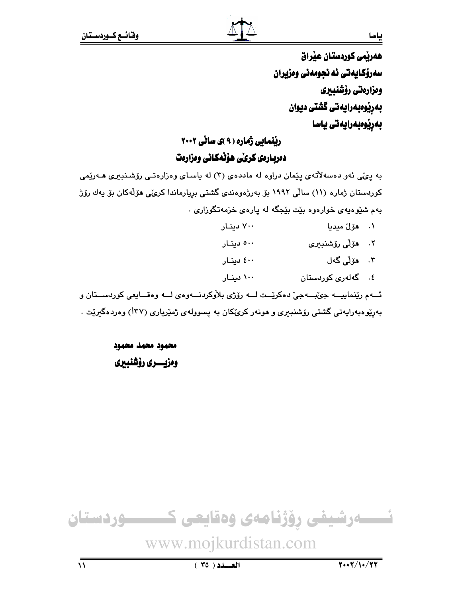ياسا

هەربمى كوردستان عيراق سەرۆكايەتى ئە نجومەنى وەزيران ومزارمتي رؤشنبيري بەرێوەبەرايەتى گشتى ديوان بەرێوەبەرايەتى ياسا

### ریْنمایی ژماره ( ۹ )ی سانی ۲۰۰۲ دمربـارمى كرىّى هۆنەكـانى ومزارمت

به ییمی ئهو دهسهلاتهی ییمان دراوه له ماددهی (۳) له یاسای وهزارهتمی رۆشنبیری هـهریمی کوردستان ژماره (۱۱) سالّی ۱۹۹۲ بوّ بەرژەوەندی گشتی بریارماندا کری،ّی هۆلّەکان بوّ یەك رۆژ بهم شنیوهیهی خوارهوه بنت بنجگه له یارهی خزمهتگوزاری .

- ۷۰۰ دینار ۰۱ - هۆل مىديا
- ٢. ھۆلى رۆشنىيرى ٥٠٠ دينار
- ۳. مۆلى گەل ٤٠٠ دينار
- ٤. گەلەرى كوردستان ۱۰۰ دینار

ئــهم ريٽنماييـــه جيُبـــهجيّ دهکرييــت لـــه رۆژي بلاّوکردنـــهوهي لـــه وهقـــايعي کوردســـتان و بەرێوەبەرايەتى گشتى رۆشنىبىرى و ھونەر كرێكان بە يسوولەي ژمێريارى (١٣٧) وەردەگىرێت .

> محمود محمد محمود وەزيسىرى رۆشنبېرى

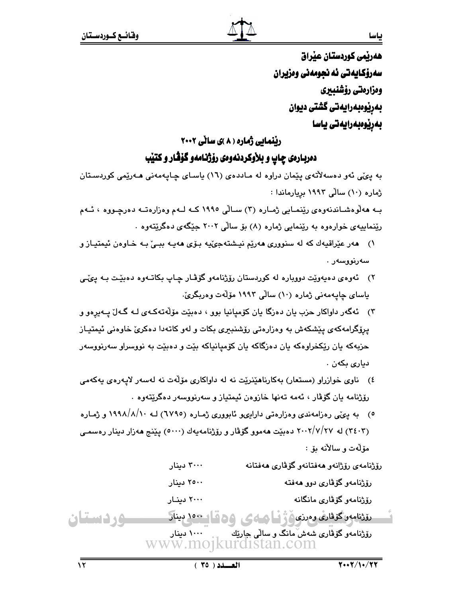هەرپمى كوردستان عيراق سەرۆكايەتى ئە نجومەنى وەزيران ومزارمتي رؤشنبيري بەريوەبەرايەتى گشتى ديوان بەرێوەبەرايەتى ياسا

### ریِّنمایی ژماره ( ۸ )ی سالّی ۲۰۰۲ دمريـارمي چـاپ و بـلأوكردنـهومي رۆژنـامهو گۆڤـار و كـتيب

به يئي ئەو دەسەلاتەي يێمان دراوە لە مـاددەي (١٦) ياسـاي چـايەمەنى ھـەرێمى كوردسـتان ژماره (۱۰) سالّی ۱۹۹۳ بریارماندا :

بـه هەلوەشـاندنەوەي رێنمـايي ژمـارە (۳) سـالْي ١٩٩٥ كــه لــهم وەزارەتــه دەرچـووە ، ئــهم رێنماییهی خوارهوه به رێنمایی ژماره (۸) بۆ ساڵی ۲۰۰۲ جێگهی دهگرێتهوه .

- ۱) هەر عێراقيەك كە لە سنوورى ھەرێم نيشتەجىٚيە بىۆى ھەيـە ببـىٰ بـە خـاوەن ئيمتيـاز و سەرئوۋسەر .
- ۲) گەوەي دەپەوپت دوويارە لە كوردستان رۆژنامەو گۆڤـار چـاپ بكاتـەوە دەبيّـت بـە يېڭـى ياساي ڇاپـهمهني ژماره (١٠) سالي ١٩٩٣ مۆلّەت وەربگرئ.
- ۳) گهگهر داواکار حزب يان دهزگا يان کۆميانيا بوو ، دهبێت مۆلّەتەکـهى لـه گـهاڵ پـهيرەو و پرِۆگرامەكە*ى* پێشكەش بە وەزارەتى رۆشنبىرى بكات و لەو كاتەدا دەكرىّ خاوەنى ئيمتيـاز حزبهکه یان رێکخراوهکه یان دهزگاکه یان کۆمیانیاکه بێت و دهبێت به نووسراو سهرنووسهر ديارى بكەن .
- ٤) ناوی خوازراو (مستعار) بهکارناهێنرێت نه له داواکاری مۆلّهت نه لهسهر لايهرهی يهکهمی رۆژنامه يان گۆڤار ، ئەمە تەنھا خازوەن ئىيمتياز و سەرنووسەر دەگرێتەوە .
- ٥) به ییمی رهزامهندی وهزارهتی داراییو ئابووری ژماره (٦٧٩٥) لـه ۱۹۹۸/۸/۱۰ و ژماره (۳٤٠٣) له ۲۰۰۲/۷/۲۷ دهېيت ههموو گوفار و روزنامهيهك (٥٠٠٠) يينج ههزار دينار رهسمي مۆلەت و سالانە ئۆ :

| ۳۰۰۰ دینار    | رۆژنامەي رۆژانەو ھەفتانەو گۆۋارى ھەفتانە |
|---------------|------------------------------------------|
| ۲۵۰۰ دینار    | رۆژنامەو گۆۋارى دوو ھەفتە                |
| ۲۰۰۰ دینار    | رۆژنامەو گۆۋارى مانگانە                  |
| وهقا حور سناد | بقثنامه وكوفارى ومرزى وفي فالهامى        |

<u>وردستان</u> رۆژنامەو گۆڤارى شەشّەانگ و سالى چارێك www.mojkurdistan.com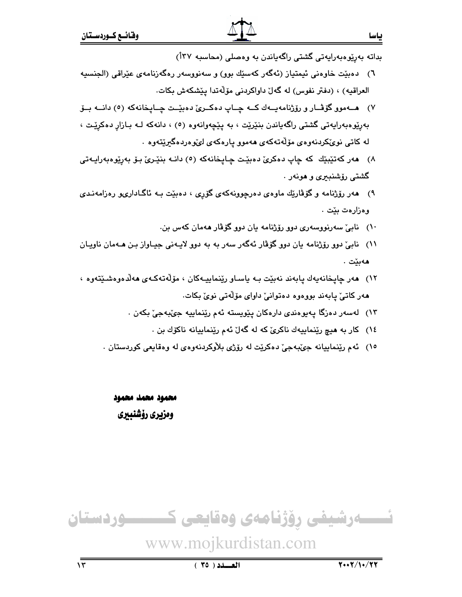- ٦) دهبيّت خاوهني ئيمتياز (ئەگەر كەسىيّك بوو) و سەنووسەر رەگەزنامەي عيّراقى (الجنسيه العراقيه) ، (دفتر نفوس) له گەلّ داواكردنى مۆلّەتدا يێشكەش بكات.
- ۷) هـــهموو گۆڤــار و رۆژنامهيــهك كــه چــاپ دەكــرى دەبيّــت چــايـخانهكه (٥) دانــه بـــوّ بهريوه بهرايهتي گشتي راگهياندن بنێرێت ، به پێچهوانهوه (٥) ، دانهکه لـه بـازار دهکرێت ، له کاتی نوێکردنهوهی مۆلّەتەکەی ھەمور يارەکەی لىموردەگىريتەوە ٠
- ٨) هەر كەتێېێك كە چاپ دەكرىّ دەبێت چاپخانەكە (٥) دانـە بنێـرىّ بـۆ بەرێوەبەراپـەتى گشتی رۆشنېيرې و هونهر .
- ۹) هەر رۆژنامە و گۆڤارێك ماوەي دەرچوونەكەي گۆرى ، دەبێت بـە ئاگـادارىيو رەزامەنـدى وەزارەت بێت .
	- ۱۰) نابی سەرنووسەری دوو رۆژنامە يان دوو گۆڤار ھەمان كەس بن.
- ١١)۔ نابیؒ دوو رۆژنامه یان دوو گۆڤار ئەگەر سەر بە بە دوو لایـەنی جیـاواز بـن ھـەمان ناویـان هەبێت .
- ١٢) ھەر چاپخانەيەك پابەند نەبێت بـە ياسـاو رێنماييـەكان ، مۆڵەتەكـەي ھەلّدەوەشىێتەوە ، هەر كاتى پيابەند بووەوە دەتوانى داواى مۆلەتى نوى بكات.
	- ۱۳) لەسەر دەزگا پەيوەندى دارەكان يێويستە ئەم رێنماييە جێبەجێ بكەن .
		- ١٤) کار به هيچ ريٽماييهك ناکريّ که له گهلّ ئهم ريّنماييانه ناکوّك بن .
	- ١٥) ئهم رينماييانه جينبهجيّ دهكريّت له روّژي بلاوكردنهوهي له وهقايعي كوردستان .

محمود محمد محمود وەزبرى رۆشنىىرى



# www.mojkurdistan.com

 $\sqrt{\tau}$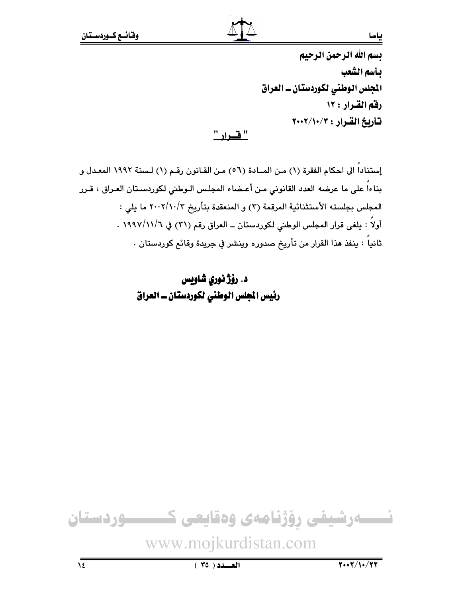بسم الله الرحمن الرحيم بأسم الشعب المجلس الوطني لكوردستان ــ العراق رفق القرار: ١٢ تأريخ القرار : ٢٠٠٢/١٠/٢

<u>" فسرار "</u>

إستناداً الى احكام الفقرة (١) مـن المــادة (٥٦) مـن القـانون رقـم (١) لـسنة ١٩٩٢ المعـدل و بناءاً على ما عرضه العدد القانوني مـن أعـضاء المجلـس الـوطني لكوردسـتان العـراق ، قـرر المجلس بجلسته الأستثنائية المرقمة (٣) و المنعقدة بتأريخ ٢٠٠٢/١٠/٢ ما يلي : أولاً : يلغي قرار المجلس الوطني لكوردستان ــ العراق رقم (٣١) في ١٩٩٧/١١/٦ . ثانياً : ينفذ هذا القرار من تأريخ صدوره وينشر في جريدة وقائع كوردستان .

د. رۆژ نورى شاويس رئيس المجلس الوطني لكوردستان ــ العراق



ياسا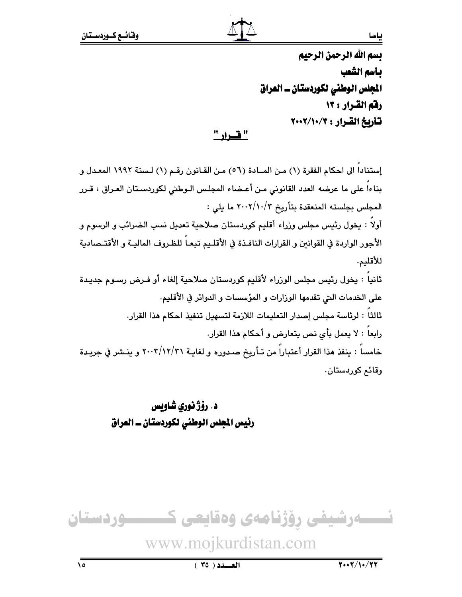بسم الله الرحمن الرحيم بأسم الشعب الجلس الوطني لكوردستان ـ العراق رفم القرار : ١٣ تأريخ القرار : ٢٠٠٢/١٠/٢

<u>" فسرار "</u>

إستناداً الى احكام الفقرة (١) مـن المــادة (٥٦) مـن القـانون رقـم (١) لـسنة ١٩٩٢ المعـدل و بناءاً على ما عرضه العدد القانوني مـن أعـضاء المجلـس الـوطني لكوردسـتان العـراق ، قـرر المجلس بجلسته المنعقدة بتأريخ ٢٠٠٢/١٠/٢ ما يلي : أولاً : يخول رئيس مجلس وزراء أقليم كوردستان صلاحية تعديل نسب الضرائب و الرسوم و

الأجور الواردة في القوانين و القرارات النافـذة في الأقلـيم تبعــاً للظـروف الماليــة و الأقتــصادية للأقليم.

ثانياً : يخول رئيس مجلس الوزراء لأقليم كوردستان صلاحية إلغاء أو فـرض رسـوم جديـدة على الخدمات التي تقدمها الورارات و المؤسسات و الدوائر في الأقليم. ثالثا : لرئاسة مجلس إصدار التعليمات اللازمة لتسهيل تنفيذ احكام هذا القرار. رابعاً : لا يعمل بأى نص يتعارض و أحكام هذا القرار. خامساً : ينفذ هذا القرار أعتباراً من تـأريخ صـدوره و لغايـة ٢٠٠٢/١٢/٣١ و ينـشر في جريـدة وقائم کوردستان.

> د. رۆژنورى شاويس رئيس المجلس الوطني لكوردستان ــ العراق

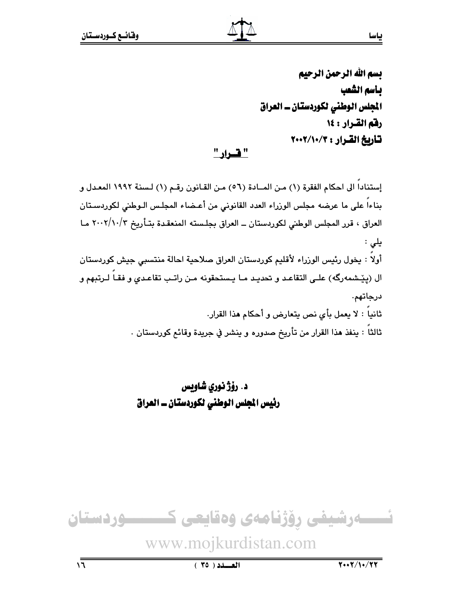# بسم الله الرحمن الرحيم بأسم الشعب المجلس الوطني لكوردستان ــ العراق رفم القرار : ١٤ تأريخ القرار : ٢٠٠٢/١٠/٢

<u>" قسرار "</u>

إستناداً الى احكام الفقرة (١) من المـادة (٥٦) من القـانون رقـم (١) لـسنة ١٩٩٢ المعـدل و بناءا على ما عرضه مجلس الوزراء العدد القانوني من أعـضاء المجلس الـوطني لكوردسـتان العراق ، قرر المجلس الوطني لكوردستان ــ العراق بجلسته المنعقدة بتـأريخ ٢٠٠٢/١٠/٣ مـا یلی : أولا : يخول رئيس الوزراء لأقليم كوردستان العراق صلاحية احالة منتسبى جيش كوردستان ال (يێشمەرگە) علـى التقاعـد و تحديـد مـا يـستحقونه مـن راتـب تقاعـدى و فقـا لـرتبهم و درجاتهم. ثانياً : لا يعمل بأى نص يتعارض و أحكام هذا القرار. ثالثا : ينفذ هذا القرار من تأريخ صدوره و ينشر في جريدة وقائع كوردستان .

> د. رۆژ نورى شاويس رئيس المجلس الوطني لكوردستان ــ العراق

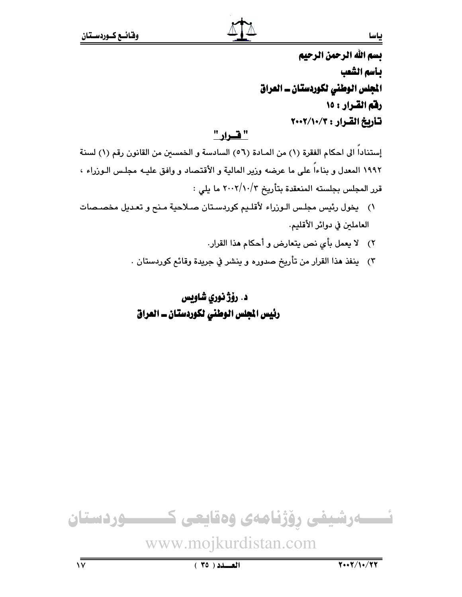بسم الله الرحمن الرحيم بأسم الشعب المجلس الوطني لكوردستان ــ العراق رفق القرار : ١٥ تاريخ القرار : ٢٠٠٢/١٠/٢

### " فسداد "

إستناداً الى احكام الفقرة (١) من المـادة (٥٦) السادسة و الخمسين من القانون رقم (١) لسنة ١٩٩٢ المعدل و بناءاً على ما عرضه وزير المالية و الأقتصاد و وافق عليـه مجلـس الـوزراء ، قرر المجلس بجلسته المنعقدة بتأريخ ٢٠٠٢/١٠/٣ ما يلي :

- ١) يخول رئيس مجلس الـوزراء لأقلـيم كوردسـتان صـلاحية مـنح و تعـديل مخصـصات العاملين في دوائر الأقليم.
	- ٢) لا يعمل بأى نص يتعارض و أحكام هذا القرار.
	- ٣) ينفذ هذا القرار من تأريخ صدوره و ينشر في جريدة وقائع كوردستان .

## د. رؤژ نوري شاويس رئيس المجلس الوطني لكوردستان ــ العراق



### ياسا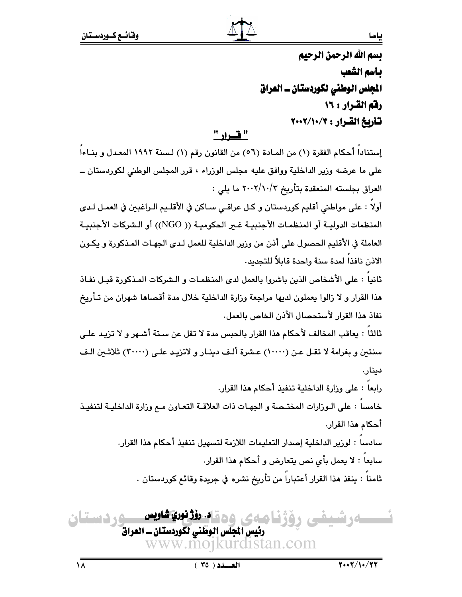بسم الله الرحمن الرحيم بأسم الشعب الجلس الوطني لكوردستان ـ العراق رفم القرار : ١٦ تأريخ القرار : ٢٠٠٢/١٠/٢

### " ف اد "

إستناداً أحكام الفقرة (١) من المـادة (٥٦) من القانون رقم (١) لـسنة ١٩٩٢ المعـدل و بنـاءاً على ما عرضه وزير الداخلية ووافق عليه مجلس الوزراء ، قرر المجلس الوطني لكوردستان ــ العراق بجلسته المنعقدة بتأريخ ٢٠٠٢/١٠/٣ ما يلي :

أولاً : على مواطني أقليم كوردستان و كـل عراقـي سـاكن في الأقلـيم الـراغبين في العمـل لـدي المنظمات الدوليـة أو المنظمـات الأجنبيـة غـير الحكوميـة (( NGO)) أو الـشركات الأجنبيـة العاملة في الأقليم الحصول على أذن من ورير الداخلية للعمل لـدى الجهـات المـذكورة و يكـون الاذن نافذا لمدة سنة واحدة قابلاً للتجديد.

ثانياً : على الأشخاص الذين باشروا بالعمل لدى المنظمـات و الـشركات المـذكورة قبـل نفـاذ هذا القرار و لا زالوا يعملون لديها مراجعة وزارة الداخلية خلال مدة أقصاها شهران من تـأريخ نفاذ هذا القرار لأستحصال الأذن الخاص بالعمل.

ثالثا : يعاقب المخالف لأحكام هذا القرار بالحبس مدة لا تقل عن سـتة أشـهر و لا تزيـد علـي سنتين و بغرامة لا تقل عن (١٠٠٠٠) عشرة ألف دينـار و لاتزيـد علـى (٣٠٠٠٠) ثلاثـين الـف دىنار.

رابعاً : على وزارة الداخلية تنفيذ أحكام هذا القرار. خامسا : على الـوزارات المختـصة و الجهـات ذات العلاقـة التعـاون مـع وزارة الداخليـة لتنفيـذ أحكام هذا القرار.

> سادسا : لورير الداخلية إصدار التعليمات اللازمة لتسهيل تنفيذ أحكام هذا القرار. سابعاً : لا يعمل بأى نص يتعارض و أحكام هذا القرار.

ثامناً : ينفذ هذا القرار أعتباراً من تأريخ نشره في جريدة وقائع كوردستان .

**وردستان** <u>م ۾ ۾ اد. رؤڙ نوري شاويس</u> **MA 30 mm**  $\mathcal{L}$ رئيس المجلس الوطني لكوردستان ـ العراق www.moikurdistan.com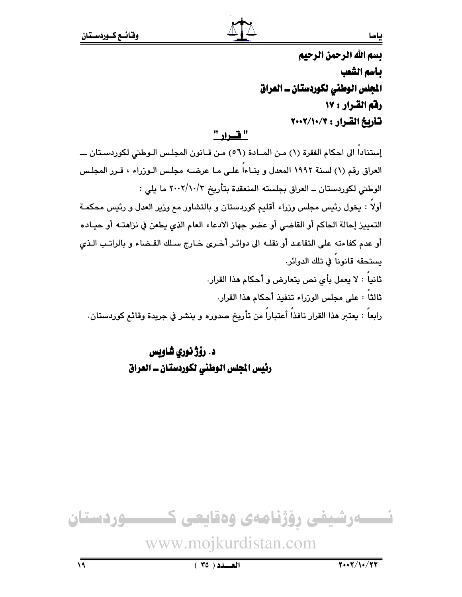بسم الله الرحمن الرحيم بأسم الشعب الجلس الوطني لكوردستان ـ العراق رفق القرار : ١٧ تأريخ القرار : ٢٠٠٢/١٠/٢

" فسداد "

إستنادا الى احكام الفقرة (١) من المـادة (٥٦) من قـانون المجلس الـوطني لكوردسـتان ــــ العراق رقم (١) لسنة ١٩٩٢ المعدل و بنـاءا علـى مـا عرضـه مجلـس الـوزراء ، قـرر المجلـس الوطني لكوردستان ــ العراق بجلسته المنعقدة بتأريخ ٢٠٠٢/١٠/٣ ما يلي : أولاً : يخول رئيس مجلس وزراء أقليم كوردستان و بالتشاور مع وزير العدل و رئيس محكمـة التمييز إحالة الحاكم أو القاضي أو عضو جهاز الادعاء العام الذي يطعن في نزاهتـه أو حيـاده أو عدم كفاءته على التقاعد أو نقلــه الى دوائـر أخـرى خـارج سـلك القـضاء و بالراتـب الـذي يستحقه قانوناً في تلك الدوائر. ثانياً : لا يعمل بأي نص يتعارض و أحكام هذا القرار. ثالثاً : على مجلس الوزراء تنفيذ أحكام هذا القرار.

رابعاً : يعتبر هذا القرار نافذاً أعتباراً من تأريخ صدوره و ينشر في جريدة وقائم كوردستان.

د. رۆژ نوري شاويس رئيس الجلس الوطني لكوردستان ـ العراق



### ياسا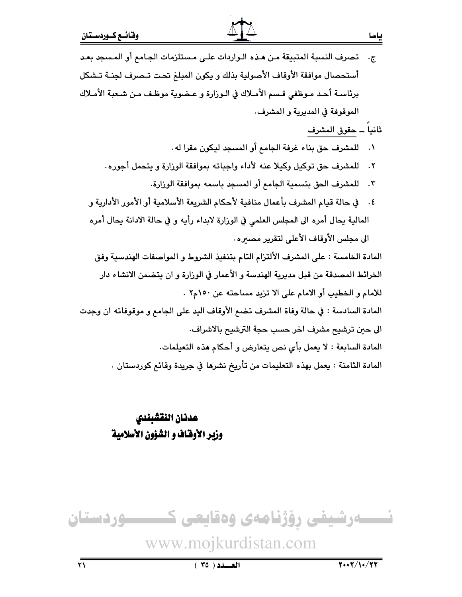| ج.    تصرف النسبة المتبيقة من هـذه الـواردات علـى مـستلزمات الجـامع أو المـسجد بعـد            |
|------------------------------------------------------------------------------------------------|
| أستحصال موافقة الأوقاف الأصولية بذلك و يكون المبلغ تحت تـصرف لجنــة تـشكل                      |
| برئاســة أحــد مــوظفي قــسم الأمــلاك في الــوزارة و عــضوية موظـف مــن شــعبـة الأمــلاك     |
| الموقوفة في المديرية و المشرف.                                                                 |
| ثانياً ــ حقوق المشرف                                                                          |
| للمشرف حق بناء غرفة الجامع أو المسجد ليكون مقرا له.<br>$\cdot$                                 |
| للمشرف حق توكيل وكيلا عنه لأداء واجباته بموافقة الوزارة و يتحمل أجوره.<br>$\cdot$ $\mathsf{r}$ |
| للمشرف الحق بتسمية الجامع أو المسجد باسمه بموافقة الوزارة.<br>$\cdot$ $\mathsf{r}$             |
| ٤.     في حالة قيام المشرف بأعمال منافية لأحكام الشريعة الأسلامية أو الأمور الأدارية و         |
| المالية يحال أمره الى المجلس العلمي في الوزارة لابداء رأيه و في حالة الادانة يحال أمره         |
| الى مجلس الأوقاف الأعلى لتقرير مصيره.                                                          |
| المادة الخامسة : على المشرف الألتزام التام بتنفيذ الشروط و المواصفات الهندسية وفق              |
| الخرائط المصدقة من قبل مديرية الهندسة و الأعمار في الوزارة و ان يتضمن الانشاء دار              |
| للامام و الخطيب أو الامام على الا تزيد مساحته عن ١٥٠م٢ .                                       |
| المادة السادسة : في حالة وفاة المشرف تضع الأوقاف اليد على الجامع و موقوفاته ان وجدت            |
| الى حين ترشيح مشرف اخر حسب حجة الترشيح بالاشراف.                                               |
| المادة السابعة : لا يعمل بأي نص يتعارض و أحكام هذه التعيلمات.                                  |
| المادة الثامنة : يعمل بهذه التعليمات من تأريخ نشرها في جريدة وقائع كوردستان .                  |
|                                                                                                |

# عدنان اللقشبندي وزير الأوقاف و الشؤون الأسلامية